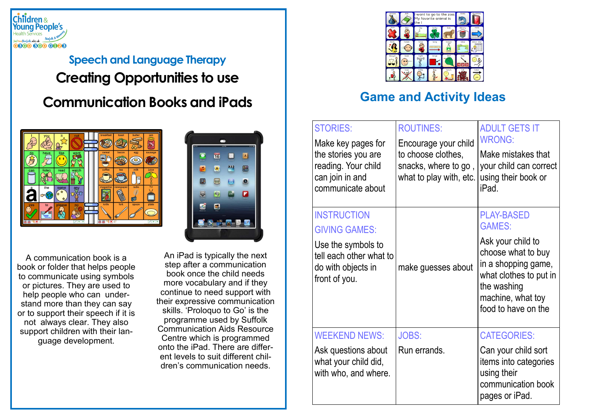

## **Speech and Language Therapy Creating Opportunities to use Communication Books and iPads**



E  $\left| \cdot \right|$ 16  $\blacksquare$ 

A communication book is a book or folder that helps people to communicate using symbols or pictures. They are used to help people who can understand more than they can say or to support their speech if it is not always clear. They also support children with their language development.

An iPad is typically the next step after a communication book once the child needs more vocabulary and if they continue to need support with their expressive communication skills. 'Proloquo to Go' is the programme used by Suffolk Communication Aids Resource Centre which is programmed onto the iPad. There are different levels to suit different children's communication needs.



## **Game and Activity Ideas**

| <b>STORIES:</b><br>Make key pages for<br>the stories you are<br>reading. Your child<br>can join in and<br>communicate about        | <b>ROUTINES:</b><br>Encourage your child<br>to choose clothes,<br>snacks, where to go,<br>what to play with, etc. | <b>ADULT GETS IT</b><br><b>WRONG:</b><br>Make mistakes that<br>your child can correct<br>using their book or<br>iPad.                                                                     |
|------------------------------------------------------------------------------------------------------------------------------------|-------------------------------------------------------------------------------------------------------------------|-------------------------------------------------------------------------------------------------------------------------------------------------------------------------------------------|
| <b>INSTRUCTION</b><br><b>GIVING GAMES:</b><br>Use the symbols to<br>tell each other what to<br>do with objects in<br>front of you. | make guesses about                                                                                                | <b>PLAY-BASED</b><br><b>GAMES:</b><br>Ask your child to<br>choose what to buy<br>in a shopping game,<br>what clothes to put in<br>the washing<br>machine, what toy<br>food to have on the |
| <b>WEEKEND NEWS:</b><br>Ask questions about<br>what your child did,<br>with who, and where.                                        | <b>JOBS:</b><br>Run errands.                                                                                      | <b>CATEGORIES:</b><br>Can your child sort<br>items into categories<br>using their<br>communication book<br>pages or iPad.                                                                 |